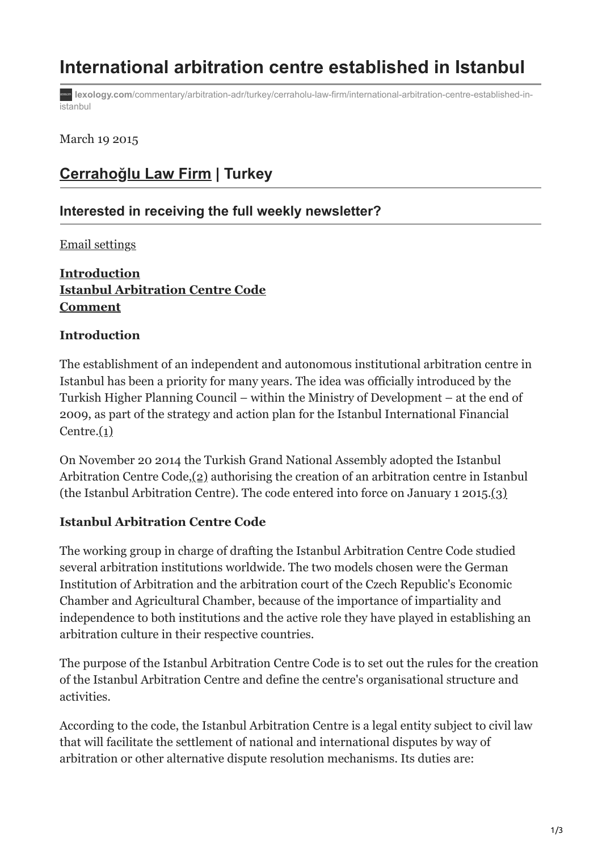# **International arbitration centre established in Istanbul**

**lexology.com**[/commentary/arbitration-adr/turkey/cerraholu-law-firm/international-arbitration-centre-established-in](https://www.lexology.com/commentary/arbitration-adr/turkey/cerraholu-law-firm/international-arbitration-centre-established-in-istanbul#4)**istanbul** 

March 19 2015

# **[Cerrahoğlu Law Firm](https://www.lexology.com/contributors/1000) | Turkey**

## **Interested in receiving the full weekly newsletter?**

[Email settings](https://www.lexology.com/account/emails)

# **Introduction Istanbul Arbitration Centre Code Comment**

#### **Introduction**

The establishment of an independent and autonomous institutional arbitration centre in Istanbul has been a priority for many years. The idea was officially introduced by the Turkish Higher Planning Council – within the Ministry of Development – at the end of 2009, as part of the strategy and action plan for the Istanbul International Financial Centre. $(1)$ 

On November 20 2014 the Turkish Grand National Assembly adopted the Istanbul Arbitration Centre Code,(2) authorising the creation of an arbitration centre in Istanbul (the Istanbul Arbitration Centre). The code entered into force on January 1 2015.(3)

#### **Istanbul Arbitration Centre Code**

The working group in charge of drafting the Istanbul Arbitration Centre Code studied several arbitration institutions worldwide. The two models chosen were the German Institution of Arbitration and the arbitration court of the Czech Republic's Economic Chamber and Agricultural Chamber, because of the importance of impartiality and independence to both institutions and the active role they have played in establishing an arbitration culture in their respective countries.

The purpose of the Istanbul Arbitration Centre Code is to set out the rules for the creation of the Istanbul Arbitration Centre and define the centre's organisational structure and activities.

According to the code, the Istanbul Arbitration Centre is a legal entity subject to civil law that will facilitate the settlement of national and international disputes by way of arbitration or other alternative dispute resolution mechanisms. Its duties are: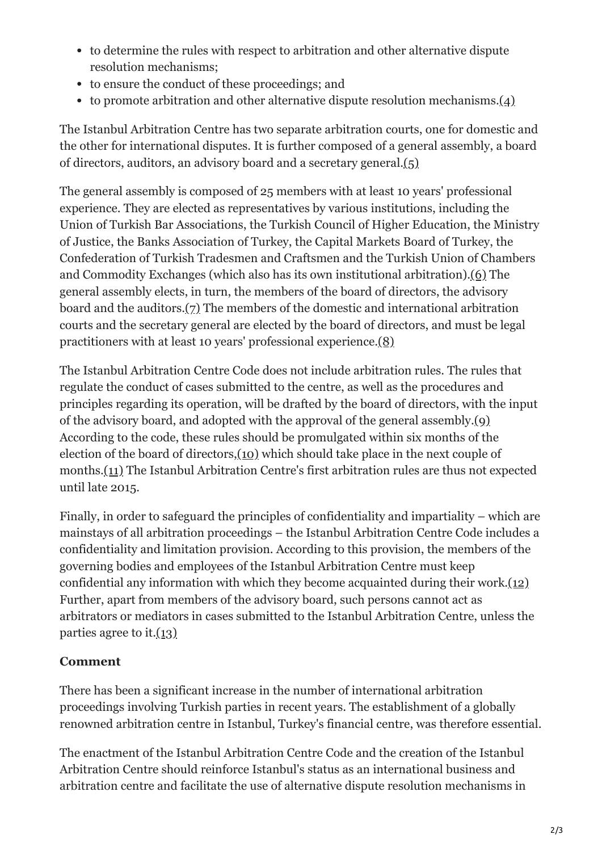- to determine the rules with respect to arbitration and other alternative dispute resolution mechanisms;
- to ensure the conduct of these proceedings; and
- to promote arbitration and other alternative dispute resolution mechanisms. $(4)$

The Istanbul Arbitration Centre has two separate arbitration courts, one for domestic and the other for international disputes. It is further composed of a general assembly, a board of directors, auditors, an advisory board and a secretary general.(5)

The general assembly is composed of 25 members with at least 10 years' professional experience. They are elected as representatives by various institutions, including the Union of Turkish Bar Associations, the Turkish Council of Higher Education, the Ministry of Justice, the Banks Association of Turkey, the Capital Markets Board of Turkey, the Confederation of Turkish Tradesmen and Craftsmen and the Turkish Union of Chambers and Commodity Exchanges (which also has its own institutional arbitration).(6) The general assembly elects, in turn, the members of the board of directors, the advisory board and the auditors.(7) The members of the domestic and international arbitration courts and the secretary general are elected by the board of directors, and must be legal practitioners with at least 10 years' professional experience.(8)

The Istanbul Arbitration Centre Code does not include arbitration rules. The rules that regulate the conduct of cases submitted to the centre, as well as the procedures and principles regarding its operation, will be drafted by the board of directors, with the input of the advisory board, and adopted with the approval of the general assembly.(9) According to the code, these rules should be promulgated within six months of the election of the board of directors,(10) which should take place in the next couple of months.(11) The Istanbul Arbitration Centre's first arbitration rules are thus not expected until late 2015.

Finally, in order to safeguard the principles of confidentiality and impartiality – which are mainstays of all arbitration proceedings – the Istanbul Arbitration Centre Code includes a confidentiality and limitation provision. According to this provision, the members of the governing bodies and employees of the Istanbul Arbitration Centre must keep confidential any information with which they become acquainted during their work. $(12)$ Further, apart from members of the advisory board, such persons cannot act as arbitrators or mediators in cases submitted to the Istanbul Arbitration Centre, unless the parties agree to it. $(13)$ 

# **Comment**

There has been a significant increase in the number of international arbitration proceedings involving Turkish parties in recent years. The establishment of a globally renowned arbitration centre in Istanbul, Turkey's financial centre, was therefore essential.

The enactment of the Istanbul Arbitration Centre Code and the creation of the Istanbul Arbitration Centre should reinforce Istanbul's status as an international business and arbitration centre and facilitate the use of alternative dispute resolution mechanisms in